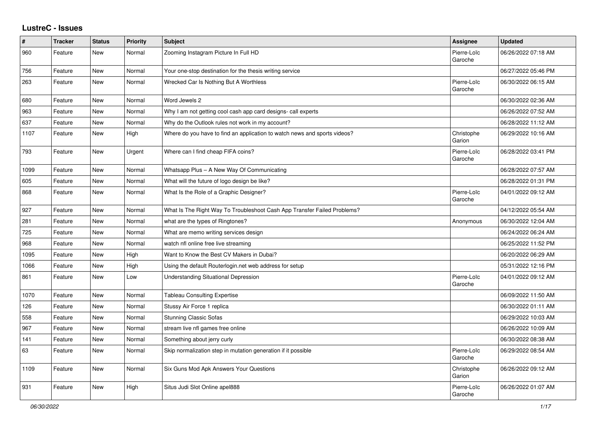## **LustreC - Issues**

| #    | <b>Tracker</b> | <b>Status</b> | <b>Priority</b> | <b>Subject</b>                                                            | Assignee               | <b>Updated</b>      |
|------|----------------|---------------|-----------------|---------------------------------------------------------------------------|------------------------|---------------------|
| 960  | Feature        | New           | Normal          | Zooming Instagram Picture In Full HD                                      | Pierre-Loïc<br>Garoche | 06/26/2022 07:18 AM |
| 756  | Feature        | <b>New</b>    | Normal          | Your one-stop destination for the thesis writing service                  |                        | 06/27/2022 05:46 PM |
| 263  | Feature        | New           | Normal          | Wrecked Car Is Nothing But A Worthless                                    | Pierre-Loïc<br>Garoche | 06/30/2022 06:15 AM |
| 680  | Feature        | New           | Normal          | Word Jewels 2                                                             |                        | 06/30/2022 02:36 AM |
| 963  | Feature        | New           | Normal          | Why I am not getting cool cash app card designs- call experts             |                        | 06/26/2022 07:52 AM |
| 637  | Feature        | New           | Normal          | Why do the Outlook rules not work in my account?                          |                        | 06/28/2022 11:12 AM |
| 1107 | Feature        | New           | High            | Where do you have to find an application to watch news and sports videos? | Christophe<br>Garion   | 06/29/2022 10:16 AM |
| 793  | Feature        | New           | Urgent          | Where can I find cheap FIFA coins?                                        | Pierre-Loïc<br>Garoche | 06/28/2022 03:41 PM |
| 1099 | Feature        | New           | Normal          | Whatsapp Plus - A New Way Of Communicating                                |                        | 06/28/2022 07:57 AM |
| 605  | Feature        | New           | Normal          | What will the future of logo design be like?                              |                        | 06/28/2022 01:31 PM |
| 868  | Feature        | New           | Normal          | What Is the Role of a Graphic Designer?                                   | Pierre-Loïc<br>Garoche | 04/01/2022 09:12 AM |
| 927  | Feature        | <b>New</b>    | Normal          | What Is The Right Way To Troubleshoot Cash App Transfer Failed Problems?  |                        | 04/12/2022 05:54 AM |
| 281  | Feature        | <b>New</b>    | Normal          | what are the types of Ringtones?                                          | Anonymous              | 06/30/2022 12:04 AM |
| 725  | Feature        | <b>New</b>    | Normal          | What are memo writing services design                                     |                        | 06/24/2022 06:24 AM |
| 968  | Feature        | New           | Normal          | watch nfl online free live streaming                                      |                        | 06/25/2022 11:52 PM |
| 1095 | Feature        | <b>New</b>    | High            | Want to Know the Best CV Makers in Dubai?                                 |                        | 06/20/2022 06:29 AM |
| 1066 | Feature        | <b>New</b>    | High            | Using the default Routerlogin.net web address for setup                   |                        | 05/31/2022 12:16 PM |
| 861  | Feature        | <b>New</b>    | Low             | <b>Understanding Situational Depression</b>                               | Pierre-Loïc<br>Garoche | 04/01/2022 09:12 AM |
| 1070 | Feature        | <b>New</b>    | Normal          | <b>Tableau Consulting Expertise</b>                                       |                        | 06/09/2022 11:50 AM |
| 126  | Feature        | New           | Normal          | Stussy Air Force 1 replica                                                |                        | 06/30/2022 01:11 AM |
| 558  | Feature        | New           | Normal          | <b>Stunning Classic Sofas</b>                                             |                        | 06/29/2022 10:03 AM |
| 967  | Feature        | <b>New</b>    | Normal          | stream live nfl games free online                                         |                        | 06/26/2022 10:09 AM |
| 141  | Feature        | <b>New</b>    | Normal          | Something about jerry curly                                               |                        | 06/30/2022 08:38 AM |
| 63   | Feature        | <b>New</b>    | Normal          | Skip normalization step in mutation generation if it possible             | Pierre-Loïc<br>Garoche | 06/29/2022 08:54 AM |
| 1109 | Feature        | New           | Normal          | Six Guns Mod Apk Answers Your Questions                                   | Christophe<br>Garion   | 06/26/2022 09:12 AM |
| 931  | Feature        | New           | High            | Situs Judi Slot Online apel888                                            | Pierre-Loïc<br>Garoche | 06/26/2022 01:07 AM |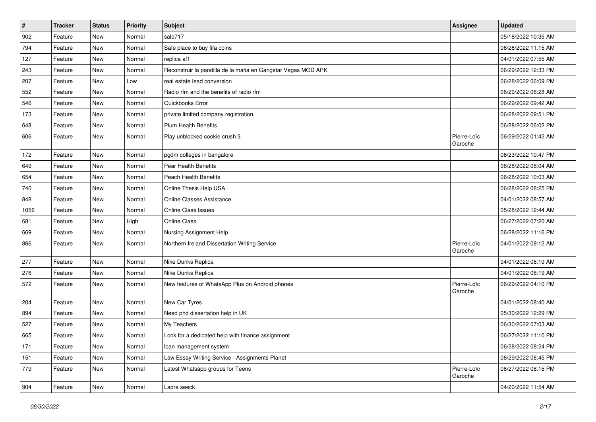| $\vert$ # | <b>Tracker</b> | <b>Status</b> | <b>Priority</b> | <b>Subject</b>                                                | <b>Assignee</b>        | <b>Updated</b>      |
|-----------|----------------|---------------|-----------------|---------------------------------------------------------------|------------------------|---------------------|
| 902       | Feature        | New           | Normal          | salo717                                                       |                        | 05/18/2022 10:35 AM |
| 794       | Feature        | New           | Normal          | Safe place to buy fifa coins                                  |                        | 06/28/2022 11:15 AM |
| 127       | Feature        | New           | Normal          | replica af1                                                   |                        | 04/01/2022 07:55 AM |
| 243       | Feature        | New           | Normal          | Reconstruir la pandilla de la mafia en Gangstar Vegas MOD APK |                        | 06/29/2022 12:33 PM |
| 207       | Feature        | <b>New</b>    | Low             | real estate lead conversion                                   |                        | 06/28/2022 06:09 PM |
| 552       | Feature        | New           | Normal          | Radio rfm and the benefits of radio rfm                       |                        | 06/29/2022 06:28 AM |
| 546       | Feature        | New           | Normal          | Quickbooks Error                                              |                        | 06/29/2022 09:42 AM |
| 173       | Feature        | New           | Normal          | private limited company registration                          |                        | 06/28/2022 09:51 PM |
| 648       | Feature        | New           | Normal          | <b>Plum Health Benefits</b>                                   |                        | 06/28/2022 06:02 PM |
| 606       | Feature        | New           | Normal          | Play unblocked cookie crush 3                                 | Pierre-Loïc<br>Garoche | 06/29/2022 01:42 AM |
| 172       | Feature        | <b>New</b>    | Normal          | pgdm colleges in bangalore                                    |                        | 06/23/2022 10:47 PM |
| 649       | Feature        | <b>New</b>    | Normal          | Pear Health Benefits                                          |                        | 06/28/2022 08:04 AM |
| 654       | Feature        | New           | Normal          | <b>Peach Health Benefits</b>                                  |                        | 06/28/2022 10:03 AM |
| 740       | Feature        | New           | Normal          | Online Thesis Help USA                                        |                        | 06/28/2022 08:25 PM |
| 848       | Feature        | New           | Normal          | <b>Online Classes Assistance</b>                              |                        | 04/01/2022 08:57 AM |
| 1056      | Feature        | New           | Normal          | <b>Online Class Issues</b>                                    |                        | 05/28/2022 12:44 AM |
| 681       | Feature        | <b>New</b>    | High            | Online Class                                                  |                        | 06/27/2022 07:20 AM |
| 669       | Feature        | New           | Normal          | Nursing Assignment Help                                       |                        | 06/28/2022 11:16 PM |
| 866       | Feature        | New           | Normal          | Northern Ireland Dissertation Writing Service                 | Pierre-Loïc<br>Garoche | 04/01/2022 09:12 AM |
| 277       | Feature        | <b>New</b>    | Normal          | Nike Dunks Replica                                            |                        | 04/01/2022 08:19 AM |
| 276       | Feature        | <b>New</b>    | Normal          | Nike Dunks Replica                                            |                        | 04/01/2022 08:19 AM |
| 572       | Feature        | New           | Normal          | New features of WhatsApp Plus on Android phones               | Pierre-Loïc<br>Garoche | 06/29/2022 04:10 PM |
| 204       | Feature        | New           | Normal          | New Car Tyres                                                 |                        | 04/01/2022 08:40 AM |
| 894       | Feature        | New           | Normal          | Need phd dissertation help in UK                              |                        | 05/30/2022 12:29 PM |
| 527       | Feature        | <b>New</b>    | Normal          | My Teachers                                                   |                        | 06/30/2022 07:03 AM |
| 665       | Feature        | New           | Normal          | Look for a dedicated help with finance assignment             |                        | 06/27/2022 11:10 PM |
| 171       | Feature        | New           | Normal          | loan management system                                        |                        | 06/28/2022 08:24 PM |
| 151       | Feature        | New           | Normal          | Law Essay Writing Service - Assignments Planet                |                        | 06/29/2022 06:45 PM |
| 779       | Feature        | New           | Normal          | Latest Whatsapp groups for Teens                              | Pierre-Loïc<br>Garoche | 06/27/2022 08:15 PM |
| 904       | Feature        | New           | Normal          | Laora seeck                                                   |                        | 04/20/2022 11:54 AM |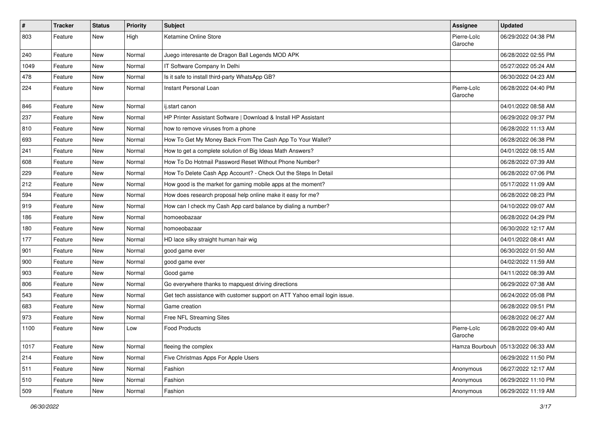| $\vert$ # | <b>Tracker</b> | <b>Status</b> | <b>Priority</b> | Subject                                                                   | Assignee               | <b>Updated</b>                       |
|-----------|----------------|---------------|-----------------|---------------------------------------------------------------------------|------------------------|--------------------------------------|
| 803       | Feature        | New           | High            | Ketamine Online Store                                                     | Pierre-Loïc<br>Garoche | 06/29/2022 04:38 PM                  |
| 240       | Feature        | <b>New</b>    | Normal          | Juego interesante de Dragon Ball Legends MOD APK                          |                        | 06/28/2022 02:55 PM                  |
| 1049      | Feature        | New           | Normal          | IT Software Company In Delhi                                              |                        | 05/27/2022 05:24 AM                  |
| 478       | Feature        | New           | Normal          | Is it safe to install third-party WhatsApp GB?                            |                        | 06/30/2022 04:23 AM                  |
| 224       | Feature        | New           | Normal          | Instant Personal Loan                                                     | Pierre-Loïc<br>Garoche | 06/28/2022 04:40 PM                  |
| 846       | Feature        | New           | Normal          | ij.start canon                                                            |                        | 04/01/2022 08:58 AM                  |
| 237       | Feature        | New           | Normal          | HP Printer Assistant Software   Download & Install HP Assistant           |                        | 06/29/2022 09:37 PM                  |
| 810       | Feature        | New           | Normal          | how to remove viruses from a phone                                        |                        | 06/28/2022 11:13 AM                  |
| 693       | Feature        | New           | Normal          | How To Get My Money Back From The Cash App To Your Wallet?                |                        | 06/28/2022 06:38 PM                  |
| 241       | Feature        | New           | Normal          | How to get a complete solution of Big Ideas Math Answers?                 |                        | 04/01/2022 08:15 AM                  |
| 608       | Feature        | New           | Normal          | How To Do Hotmail Password Reset Without Phone Number?                    |                        | 06/28/2022 07:39 AM                  |
| 229       | Feature        | New           | Normal          | How To Delete Cash App Account? - Check Out the Steps In Detail           |                        | 06/28/2022 07:06 PM                  |
| 212       | Feature        | New           | Normal          | How good is the market for gaming mobile apps at the moment?              |                        | 05/17/2022 11:09 AM                  |
| 594       | Feature        | New           | Normal          | How does research proposal help online make it easy for me?               |                        | 06/28/2022 08:23 PM                  |
| 919       | Feature        | New           | Normal          | How can I check my Cash App card balance by dialing a number?             |                        | 04/10/2022 09:07 AM                  |
| 186       | Feature        | <b>New</b>    | Normal          | homoeobazaar                                                              |                        | 06/28/2022 04:29 PM                  |
| 180       | Feature        | New           | Normal          | homoeobazaar                                                              |                        | 06/30/2022 12:17 AM                  |
| 177       | Feature        | New           | Normal          | HD lace silky straight human hair wig                                     |                        | 04/01/2022 08:41 AM                  |
| 901       | Feature        | New           | Normal          | good game ever                                                            |                        | 06/30/2022 01:50 AM                  |
| 900       | Feature        | New           | Normal          | good game ever                                                            |                        | 04/02/2022 11:59 AM                  |
| 903       | Feature        | <b>New</b>    | Normal          | Good game                                                                 |                        | 04/11/2022 08:39 AM                  |
| 806       | Feature        | New           | Normal          | Go everywhere thanks to mapquest driving directions                       |                        | 06/29/2022 07:38 AM                  |
| 543       | Feature        | New           | Normal          | Get tech assistance with customer support on ATT Yahoo email login issue. |                        | 06/24/2022 05:08 PM                  |
| 683       | Feature        | New           | Normal          | Game creation                                                             |                        | 06/28/2022 09:51 PM                  |
| 973       | Feature        | New           | Normal          | Free NFL Streaming Sites                                                  |                        | 06/28/2022 06:27 AM                  |
| 1100      | Feature        | New           | Low             | <b>Food Products</b>                                                      | Pierre-Loïc<br>Garoche | 06/28/2022 09:40 AM                  |
| 1017      | Feature        | New           | Normal          | fleeing the complex                                                       |                        | Hamza Bourbouh   05/13/2022 06:33 AM |
| 214       | Feature        | <b>New</b>    | Normal          | Five Christmas Apps For Apple Users                                       |                        | 06/29/2022 11:50 PM                  |
| 511       | Feature        | New           | Normal          | Fashion                                                                   | Anonymous              | 06/27/2022 12:17 AM                  |
| 510       | Feature        | New           | Normal          | Fashion                                                                   | Anonymous              | 06/29/2022 11:10 PM                  |
| 509       | Feature        | New           | Normal          | Fashion                                                                   | Anonymous              | 06/29/2022 11:19 AM                  |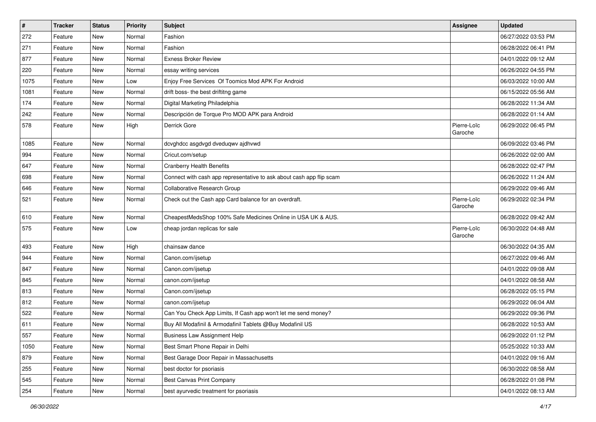| $\vert$ # | <b>Tracker</b> | <b>Status</b> | <b>Priority</b> | <b>Subject</b>                                                       | <b>Assignee</b>        | <b>Updated</b>      |
|-----------|----------------|---------------|-----------------|----------------------------------------------------------------------|------------------------|---------------------|
| 272       | Feature        | New           | Normal          | Fashion                                                              |                        | 06/27/2022 03:53 PM |
| 271       | Feature        | New           | Normal          | Fashion                                                              |                        | 06/28/2022 06:41 PM |
| 877       | Feature        | New           | Normal          | <b>Exness Broker Review</b>                                          |                        | 04/01/2022 09:12 AM |
| 220       | Feature        | New           | Normal          | essay writing services                                               |                        | 06/26/2022 04:55 PM |
| 1075      | Feature        | New           | Low             | Enjoy Free Services Of Toomics Mod APK For Android                   |                        | 06/03/2022 10:00 AM |
| 1081      | Feature        | New           | Normal          | drift boss- the best driftitng game                                  |                        | 06/15/2022 05:56 AM |
| 174       | Feature        | New           | Normal          | Digital Marketing Philadelphia                                       |                        | 06/28/2022 11:34 AM |
| 242       | Feature        | New           | Normal          | Descripción de Torque Pro MOD APK para Android                       |                        | 06/28/2022 01:14 AM |
| 578       | Feature        | New           | High            | Derrick Gore                                                         | Pierre-Loïc<br>Garoche | 06/29/2022 06:45 PM |
| 1085      | Feature        | New           | Normal          | dcvghdcc asgdvgd dveduqwv ajdhvwd                                    |                        | 06/09/2022 03:46 PM |
| 994       | Feature        | New           | Normal          | Cricut.com/setup                                                     |                        | 06/26/2022 02:00 AM |
| 647       | Feature        | New           | Normal          | <b>Cranberry Health Benefits</b>                                     |                        | 06/28/2022 02:47 PM |
| 698       | Feature        | New           | Normal          | Connect with cash app representative to ask about cash app flip scam |                        | 06/26/2022 11:24 AM |
| 646       | Feature        | New           | Normal          | Collaborative Research Group                                         |                        | 06/29/2022 09:46 AM |
| 521       | Feature        | New           | Normal          | Check out the Cash app Card balance for an overdraft.                | Pierre-Loïc<br>Garoche | 06/29/2022 02:34 PM |
| 610       | Feature        | New           | Normal          | CheapestMedsShop 100% Safe Medicines Online in USA UK & AUS.         |                        | 06/28/2022 09:42 AM |
| 575       | Feature        | New           | Low             | cheap jordan replicas for sale                                       | Pierre-Loïc<br>Garoche | 06/30/2022 04:48 AM |
| 493       | Feature        | New           | High            | chainsaw dance                                                       |                        | 06/30/2022 04:35 AM |
| 944       | Feature        | New           | Normal          | Canon.com/ijsetup                                                    |                        | 06/27/2022 09:46 AM |
| 847       | Feature        | New           | Normal          | Canon.com/ijsetup                                                    |                        | 04/01/2022 09:08 AM |
| 845       | Feature        | New           | Normal          | canon.com/ijsetup                                                    |                        | 04/01/2022 08:58 AM |
| 813       | Feature        | New           | Normal          | Canon.com/ijsetup                                                    |                        | 06/28/2022 05:15 PM |
| 812       | Feature        | New           | Normal          | canon.com/ijsetup                                                    |                        | 06/29/2022 06:04 AM |
| 522       | Feature        | New           | Normal          | Can You Check App Limits, If Cash app won't let me send money?       |                        | 06/29/2022 09:36 PM |
| 611       | Feature        | New           | Normal          | Buy All Modafinil & Armodafinil Tablets @Buy Modafinil US            |                        | 06/28/2022 10:53 AM |
| 557       | Feature        | New           | Normal          | Business Law Assignment Help                                         |                        | 06/29/2022 01:12 PM |
| 1050      | Feature        | New           | Normal          | Best Smart Phone Repair in Delhi                                     |                        | 05/25/2022 10:33 AM |
| 879       | Feature        | New           | Normal          | Best Garage Door Repair in Massachusetts                             |                        | 04/01/2022 09:16 AM |
| 255       | Feature        | New           | Normal          | best doctor for psoriasis                                            |                        | 06/30/2022 08:58 AM |
| 545       | Feature        | New           | Normal          | <b>Best Canvas Print Company</b>                                     |                        | 06/28/2022 01:08 PM |
| 254       | Feature        | New           | Normal          | best ayurvedic treatment for psoriasis                               |                        | 04/01/2022 08:13 AM |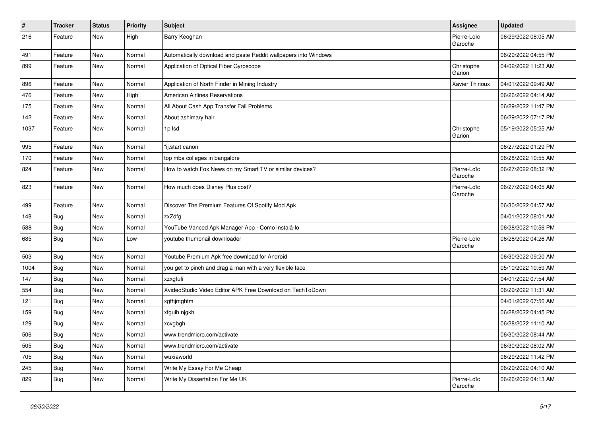| $\vert$ # | <b>Tracker</b> | <b>Status</b> | <b>Priority</b> | Subject                                                         | Assignee               | <b>Updated</b>      |
|-----------|----------------|---------------|-----------------|-----------------------------------------------------------------|------------------------|---------------------|
| 216       | Feature        | <b>New</b>    | High            | Barry Keoghan                                                   | Pierre-Loïc<br>Garoche | 06/29/2022 08:05 AM |
| 491       | Feature        | <b>New</b>    | Normal          | Automatically download and paste Reddit wallpapers into Windows |                        | 06/29/2022 04:55 PM |
| 899       | Feature        | <b>New</b>    | Normal          | Application of Optical Fiber Gyroscope                          | Christophe<br>Garion   | 04/02/2022 11:23 AM |
| 896       | Feature        | <b>New</b>    | Normal          | Application of North Finder in Mining Industry                  | Xavier Thirioux        | 04/01/2022 09:49 AM |
| 476       | Feature        | <b>New</b>    | High            | <b>American Airlines Reservations</b>                           |                        | 06/26/2022 04:14 AM |
| 175       | Feature        | <b>New</b>    | Normal          | All About Cash App Transfer Fail Problems                       |                        | 06/29/2022 11:47 PM |
| 142       | Feature        | <b>New</b>    | Normal          | About ashimary hair                                             |                        | 06/29/2022 07:17 PM |
| 1037      | Feature        | New           | Normal          | 1p Isd                                                          | Christophe<br>Garion   | 05/19/2022 05:25 AM |
| 995       | Feature        | <b>New</b>    | Normal          | "ij.start canon                                                 |                        | 06/27/2022 01:29 PM |
| 170       | Feature        | New           | Normal          | top mba colleges in bangalore                                   |                        | 06/28/2022 10:55 AM |
| 824       | Feature        | <b>New</b>    | Normal          | How to watch Fox News on my Smart TV or similar devices?        | Pierre-Loïc<br>Garoche | 06/27/2022 08:32 PM |
| 823       | Feature        | <b>New</b>    | Normal          | How much does Disney Plus cost?                                 | Pierre-Loïc<br>Garoche | 06/27/2022 04:05 AM |
| 499       | Feature        | <b>New</b>    | Normal          | Discover The Premium Features Of Spotify Mod Apk                |                        | 06/30/2022 04:57 AM |
| 148       | <b>Bug</b>     | <b>New</b>    | Normal          | zxZdfg                                                          |                        | 04/01/2022 08:01 AM |
| 588       | Bug            | New           | Normal          | YouTube Vanced Apk Manager App - Como instalá-lo                |                        | 06/28/2022 10:56 PM |
| 685       | <b>Bug</b>     | New           | Low             | youtube thumbnail downloader                                    | Pierre-Loïc<br>Garoche | 06/28/2022 04:26 AM |
| 503       | Bug            | New           | Normal          | Youtube Premium Apk free download for Android                   |                        | 06/30/2022 09:20 AM |
| 1004      | Bug            | New           | Normal          | you get to pinch and drag a man with a very flexible face       |                        | 05/10/2022 10:59 AM |
| 147       | Bug            | New           | Normal          | xzxgfufi                                                        |                        | 04/01/2022 07:54 AM |
| 554       | <b>Bug</b>     | New           | Normal          | XvideoStudio Video Editor APK Free Download on TechToDown       |                        | 06/29/2022 11:31 AM |
| 121       | Bug            | New           | Normal          | xgfhjmghtm                                                      |                        | 04/01/2022 07:56 AM |
| 159       | Bug            | New           | Normal          | xfguih njgkh                                                    |                        | 06/28/2022 04:45 PM |
| 129       | Bug            | New           | Normal          | xcvgbgh                                                         |                        | 06/28/2022 11:10 AM |
| 506       | <b>Bug</b>     | New           | Normal          | www.trendmicro.com/activate                                     |                        | 06/30/2022 08:44 AM |
| 505       | Bug            | <b>New</b>    | Normal          | www.trendmicro.com/activate                                     |                        | 06/30/2022 08:02 AM |
| 705       | <b>Bug</b>     | New           | Normal          | wuxiaworld                                                      |                        | 06/29/2022 11:42 PM |
| 245       | <b>Bug</b>     | New           | Normal          | Write My Essay For Me Cheap                                     |                        | 06/29/2022 04:10 AM |
| 829       | <b>Bug</b>     | New           | Normal          | Write My Dissertation For Me UK                                 | Pierre-Loïc<br>Garoche | 06/26/2022 04:13 AM |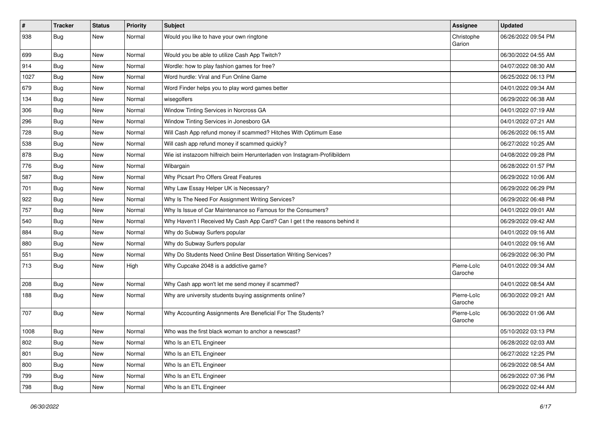| $\#$ | <b>Tracker</b> | <b>Status</b> | <b>Priority</b> | <b>Subject</b>                                                             | Assignee               | <b>Updated</b>      |
|------|----------------|---------------|-----------------|----------------------------------------------------------------------------|------------------------|---------------------|
| 938  | <b>Bug</b>     | <b>New</b>    | Normal          | Would you like to have your own ringtone                                   | Christophe<br>Garion   | 06/26/2022 09:54 PM |
| 699  | <b>Bug</b>     | New           | Normal          | Would you be able to utilize Cash App Twitch?                              |                        | 06/30/2022 04:55 AM |
| 914  | Bug            | New           | Normal          | Wordle: how to play fashion games for free?                                |                        | 04/07/2022 08:30 AM |
| 1027 | Bug            | <b>New</b>    | Normal          | Word hurdle: Viral and Fun Online Game                                     |                        | 06/25/2022 06:13 PM |
| 679  | <b>Bug</b>     | New           | Normal          | Word Finder helps you to play word games better                            |                        | 04/01/2022 09:34 AM |
| 134  | Bug            | <b>New</b>    | Normal          | wisegolfers                                                                |                        | 06/29/2022 06:38 AM |
| 306  | <b>Bug</b>     | New           | Normal          | Window Tinting Services in Norcross GA                                     |                        | 04/01/2022 07:19 AM |
| 296  | Bug            | <b>New</b>    | Normal          | Window Tinting Services in Jonesboro GA                                    |                        | 04/01/2022 07:21 AM |
| 728  | Bug            | <b>New</b>    | Normal          | Will Cash App refund money if scammed? Hitches With Optimum Ease           |                        | 06/26/2022 06:15 AM |
| 538  | <b>Bug</b>     | New           | Normal          | Will cash app refund money if scammed quickly?                             |                        | 06/27/2022 10:25 AM |
| 878  | <b>Bug</b>     | <b>New</b>    | Normal          | Wie ist instazoom hilfreich beim Herunterladen von Instagram-Profilbildern |                        | 04/08/2022 09:28 PM |
| 776  | Bug            | New           | Normal          | Wibargain                                                                  |                        | 06/28/2022 01:57 PM |
| 587  | Bug            | <b>New</b>    | Normal          | Why Picsart Pro Offers Great Features                                      |                        | 06/29/2022 10:06 AM |
| 701  | Bug            | <b>New</b>    | Normal          | Why Law Essay Helper UK is Necessary?                                      |                        | 06/29/2022 06:29 PM |
| 922  | Bug            | New           | Normal          | Why Is The Need For Assignment Writing Services?                           |                        | 06/29/2022 06:48 PM |
| 757  | Bug            | <b>New</b>    | Normal          | Why Is Issue of Car Maintenance so Famous for the Consumers?               |                        | 04/01/2022 09:01 AM |
| 540  | Bug            | New           | Normal          | Why Haven't I Received My Cash App Card? Can I get t the reasons behind it |                        | 06/29/2022 09:42 AM |
| 884  | Bug            | New           | Normal          | Why do Subway Surfers popular                                              |                        | 04/01/2022 09:16 AM |
| 880  | Bug            | <b>New</b>    | Normal          | Why do Subway Surfers popular                                              |                        | 04/01/2022 09:16 AM |
| 551  | Bug            | New           | Normal          | Why Do Students Need Online Best Dissertation Writing Services?            |                        | 06/29/2022 06:30 PM |
| 713  | Bug            | <b>New</b>    | High            | Why Cupcake 2048 is a addictive game?                                      | Pierre-Loïc<br>Garoche | 04/01/2022 09:34 AM |
| 208  | Bug            | <b>New</b>    | Normal          | Why Cash app won't let me send money if scammed?                           |                        | 04/01/2022 08:54 AM |
| 188  | Bug            | <b>New</b>    | Normal          | Why are university students buying assignments online?                     | Pierre-Loïc<br>Garoche | 06/30/2022 09:21 AM |
| 707  | Bug            | <b>New</b>    | Normal          | Why Accounting Assignments Are Beneficial For The Students?                | Pierre-Loïc<br>Garoche | 06/30/2022 01:06 AM |
| 1008 | <b>Bug</b>     | New           | Normal          | Who was the first black woman to anchor a newscast?                        |                        | 05/10/2022 03:13 PM |
| 802  | <b>Bug</b>     | New           | Normal          | Who Is an ETL Engineer                                                     |                        | 06/28/2022 02:03 AM |
| 801  | Bug            | New           | Normal          | Who Is an ETL Engineer                                                     |                        | 06/27/2022 12:25 PM |
| 800  | Bug            | New           | Normal          | Who Is an ETL Engineer                                                     |                        | 06/29/2022 08:54 AM |
| 799  | Bug            | New           | Normal          | Who Is an ETL Engineer                                                     |                        | 06/29/2022 07:36 PM |
| 798  | <b>Bug</b>     | New           | Normal          | Who Is an ETL Engineer                                                     |                        | 06/29/2022 02:44 AM |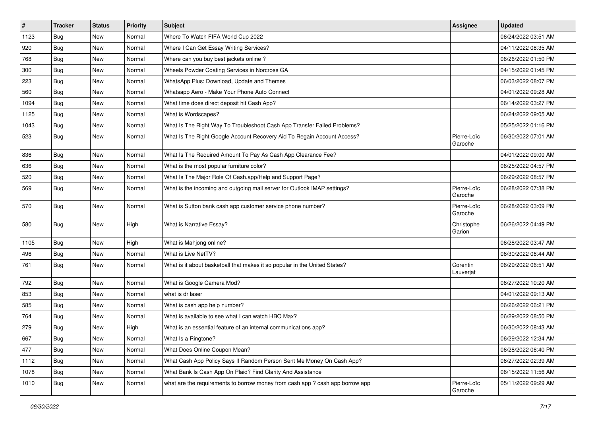| $\sharp$ | <b>Tracker</b> | <b>Status</b> | <b>Priority</b> | Subject                                                                       | Assignee               | <b>Updated</b>      |
|----------|----------------|---------------|-----------------|-------------------------------------------------------------------------------|------------------------|---------------------|
| 1123     | <b>Bug</b>     | New           | Normal          | Where To Watch FIFA World Cup 2022                                            |                        | 06/24/2022 03:51 AM |
| 920      | Bug            | <b>New</b>    | Normal          | Where I Can Get Essay Writing Services?                                       |                        | 04/11/2022 08:35 AM |
| 768      | <b>Bug</b>     | New           | Normal          | Where can you buy best jackets online?                                        |                        | 06/26/2022 01:50 PM |
| 300      | Bug            | New           | Normal          | Wheels Powder Coating Services in Norcross GA                                 |                        | 04/15/2022 01:45 PM |
| 223      | <b>Bug</b>     | <b>New</b>    | Normal          | WhatsApp Plus: Download, Update and Themes                                    |                        | 06/03/2022 08:07 PM |
| 560      | Bug            | New           | Normal          | Whatsapp Aero - Make Your Phone Auto Connect                                  |                        | 04/01/2022 09:28 AM |
| 1094     | Bug            | New           | Normal          | What time does direct deposit hit Cash App?                                   |                        | 06/14/2022 03:27 PM |
| 1125     | Bug            | New           | Normal          | What is Wordscapes?                                                           |                        | 06/24/2022 09:05 AM |
| 1043     | <b>Bug</b>     | New           | Normal          | What Is The Right Way To Troubleshoot Cash App Transfer Failed Problems?      |                        | 05/25/2022 01:16 PM |
| 523      | Bug            | New           | Normal          | What Is The Right Google Account Recovery Aid To Regain Account Access?       | Pierre-Loïc<br>Garoche | 06/30/2022 07:01 AM |
| 836      | Bug            | New           | Normal          | What Is The Required Amount To Pay As Cash App Clearance Fee?                 |                        | 04/01/2022 09:00 AM |
| 636      | <b>Bug</b>     | New           | Normal          | What is the most popular furniture color?                                     |                        | 06/25/2022 04:57 PM |
| 520      | Bug            | New           | Normal          | What Is The Major Role Of Cash.app/Help and Support Page?                     |                        | 06/29/2022 08:57 PM |
| 569      | <b>Bug</b>     | New           | Normal          | What is the incoming and outgoing mail server for Outlook IMAP settings?      | Pierre-Loïc<br>Garoche | 06/28/2022 07:38 PM |
| 570      | Bug            | New           | Normal          | What is Sutton bank cash app customer service phone number?                   | Pierre-Loïc<br>Garoche | 06/28/2022 03:09 PM |
| 580      | <b>Bug</b>     | New           | High            | What is Narrative Essay?                                                      | Christophe<br>Garion   | 06/26/2022 04:49 PM |
| 1105     | Bug            | <b>New</b>    | High            | What is Mahjong online?                                                       |                        | 06/28/2022 03:47 AM |
| 496      | Bug            | New           | Normal          | What is Live NetTV?                                                           |                        | 06/30/2022 06:44 AM |
| 761      | Bug            | New           | Normal          | What is it about basketball that makes it so popular in the United States?    | Corentin<br>Lauverjat  | 06/29/2022 06:51 AM |
| 792      | Bug            | <b>New</b>    | Normal          | What is Google Camera Mod?                                                    |                        | 06/27/2022 10:20 AM |
| 853      | <b>Bug</b>     | New           | Normal          | what is dr laser                                                              |                        | 04/01/2022 09:13 AM |
| 585      | <b>Bug</b>     | New           | Normal          | What is cash app help number?                                                 |                        | 06/26/2022 06:21 PM |
| 764      | Bug            | New           | Normal          | What is available to see what I can watch HBO Max?                            |                        | 06/29/2022 08:50 PM |
| 279      | Bug            | <b>New</b>    | High            | What is an essential feature of an internal communications app?               |                        | 06/30/2022 08:43 AM |
| 667      | Bug            | New           | Normal          | What Is a Ringtone?                                                           |                        | 06/29/2022 12:34 AM |
| 477      | <b>Bug</b>     | New           | Normal          | What Does Online Coupon Mean?                                                 |                        | 06/28/2022 06:40 PM |
| 1112     | Bug            | New           | Normal          | What Cash App Policy Says If Random Person Sent Me Money On Cash App?         |                        | 06/27/2022 02:39 AM |
| 1078     | <b>Bug</b>     | New           | Normal          | What Bank Is Cash App On Plaid? Find Clarity And Assistance                   |                        | 06/15/2022 11:56 AM |
| 1010     | Bug            | New           | Normal          | what are the requirements to borrow money from cash app ? cash app borrow app | Pierre-Loïc<br>Garoche | 05/11/2022 09:29 AM |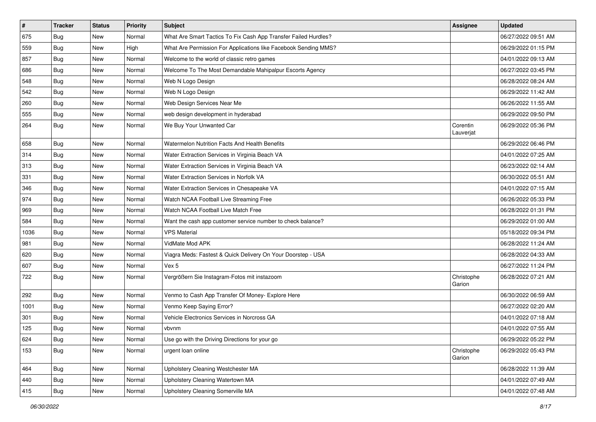| $\pmb{\#}$ | <b>Tracker</b> | <b>Status</b> | <b>Priority</b> | <b>Subject</b>                                                  | Assignee              | <b>Updated</b>      |
|------------|----------------|---------------|-----------------|-----------------------------------------------------------------|-----------------------|---------------------|
| 675        | <b>Bug</b>     | New           | Normal          | What Are Smart Tactics To Fix Cash App Transfer Failed Hurdles? |                       | 06/27/2022 09:51 AM |
| 559        | Bug            | <b>New</b>    | High            | What Are Permission For Applications like Facebook Sending MMS? |                       | 06/29/2022 01:15 PM |
| 857        | Bug            | New           | Normal          | Welcome to the world of classic retro games                     |                       | 04/01/2022 09:13 AM |
| 686        | <b>Bug</b>     | <b>New</b>    | Normal          | Welcome To The Most Demandable Mahipalpur Escorts Agency        |                       | 06/27/2022 03:45 PM |
| 548        | <b>Bug</b>     | <b>New</b>    | Normal          | Web N Logo Design                                               |                       | 06/28/2022 08:24 AM |
| 542        | <b>Bug</b>     | New           | Normal          | Web N Logo Design                                               |                       | 06/29/2022 11:42 AM |
| 260        | Bug            | <b>New</b>    | Normal          | Web Design Services Near Me                                     |                       | 06/26/2022 11:55 AM |
| 555        | Bug            | New           | Normal          | web design development in hyderabad                             |                       | 06/29/2022 09:50 PM |
| 264        | Bug            | <b>New</b>    | Normal          | We Buy Your Unwanted Car                                        | Corentin<br>Lauverjat | 06/29/2022 05:36 PM |
| 658        | Bug            | New           | Normal          | Watermelon Nutrition Facts And Health Benefits                  |                       | 06/29/2022 06:46 PM |
| 314        | Bug            | <b>New</b>    | Normal          | Water Extraction Services in Virginia Beach VA                  |                       | 04/01/2022 07:25 AM |
| 313        | Bug            | <b>New</b>    | Normal          | Water Extraction Services in Virginia Beach VA                  |                       | 06/23/2022 02:14 AM |
| 331        | <b>Bug</b>     | New           | Normal          | Water Extraction Services in Norfolk VA                         |                       | 06/30/2022 05:51 AM |
| 346        | Bug            | <b>New</b>    | Normal          | Water Extraction Services in Chesapeake VA                      |                       | 04/01/2022 07:15 AM |
| 974        | Bug            | New           | Normal          | Watch NCAA Football Live Streaming Free                         |                       | 06/26/2022 05:33 PM |
| 969        | Bug            | <b>New</b>    | Normal          | Watch NCAA Football Live Match Free                             |                       | 06/28/2022 01:31 PM |
| 584        | Bug            | <b>New</b>    | Normal          | Want the cash app customer service number to check balance?     |                       | 06/29/2022 01:00 AM |
| 1036       | Bug            | <b>New</b>    | Normal          | <b>VPS Material</b>                                             |                       | 05/18/2022 09:34 PM |
| 981        | Bug            | <b>New</b>    | Normal          | VidMate Mod APK                                                 |                       | 06/28/2022 11:24 AM |
| 620        | Bug            | <b>New</b>    | Normal          | Viagra Meds: Fastest & Quick Delivery On Your Doorstep - USA    |                       | 06/28/2022 04:33 AM |
| 607        | Bug            | <b>New</b>    | Normal          | Vex 5                                                           |                       | 06/27/2022 11:24 PM |
| 722        | Bug            | <b>New</b>    | Normal          | Vergrößern Sie Instagram-Fotos mit instazoom                    | Christophe<br>Garion  | 06/28/2022 07:21 AM |
| 292        | Bug            | <b>New</b>    | Normal          | Venmo to Cash App Transfer Of Money- Explore Here               |                       | 06/30/2022 06:59 AM |
| 1001       | Bug            | <b>New</b>    | Normal          | Venmo Keep Saying Error?                                        |                       | 06/27/2022 02:20 AM |
| 301        | <b>Bug</b>     | New           | Normal          | Vehicle Electronics Services in Norcross GA                     |                       | 04/01/2022 07:18 AM |
| 125        | Bug            | <b>New</b>    | Normal          | vbvnm                                                           |                       | 04/01/2022 07:55 AM |
| 624        | Bug            | New           | Normal          | Use go with the Driving Directions for your go                  |                       | 06/29/2022 05:22 PM |
| 153        | Bug            | New           | Normal          | urgent loan online                                              | Christophe<br>Garion  | 06/29/2022 05:43 PM |
| 464        | <b>Bug</b>     | New           | Normal          | Upholstery Cleaning Westchester MA                              |                       | 06/28/2022 11:39 AM |
| 440        | <b>Bug</b>     | New           | Normal          | Upholstery Cleaning Watertown MA                                |                       | 04/01/2022 07:49 AM |
| 415        | Bug            | New           | Normal          | Upholstery Cleaning Somerville MA                               |                       | 04/01/2022 07:48 AM |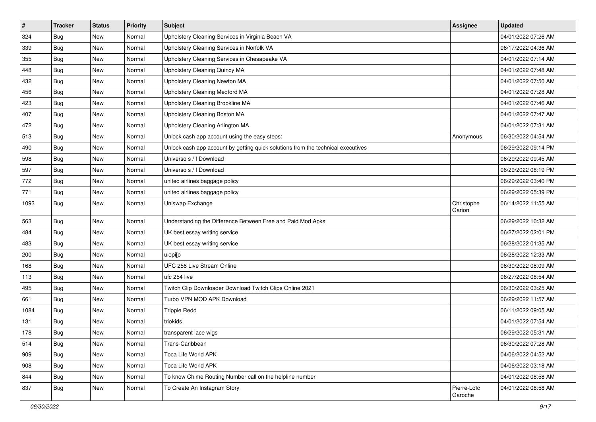| $\vert$ # | <b>Tracker</b> | <b>Status</b> | <b>Priority</b> | Subject                                                                          | <b>Assignee</b>        | <b>Updated</b>      |
|-----------|----------------|---------------|-----------------|----------------------------------------------------------------------------------|------------------------|---------------------|
| 324       | <b>Bug</b>     | New           | Normal          | Upholstery Cleaning Services in Virginia Beach VA                                |                        | 04/01/2022 07:26 AM |
| 339       | <b>Bug</b>     | <b>New</b>    | Normal          | Upholstery Cleaning Services in Norfolk VA                                       |                        | 06/17/2022 04:36 AM |
| 355       | Bug            | New           | Normal          | Upholstery Cleaning Services in Chesapeake VA                                    |                        | 04/01/2022 07:14 AM |
| 448       | <b>Bug</b>     | New           | Normal          | Upholstery Cleaning Quincy MA                                                    |                        | 04/01/2022 07:48 AM |
| 432       | <b>Bug</b>     | <b>New</b>    | Normal          | Upholstery Cleaning Newton MA                                                    |                        | 04/01/2022 07:50 AM |
| 456       | <b>Bug</b>     | New           | Normal          | Upholstery Cleaning Medford MA                                                   |                        | 04/01/2022 07:28 AM |
| 423       | <b>Bug</b>     | New           | Normal          | Upholstery Cleaning Brookline MA                                                 |                        | 04/01/2022 07:46 AM |
| 407       | <b>Bug</b>     | New           | Normal          | Upholstery Cleaning Boston MA                                                    |                        | 04/01/2022 07:47 AM |
| 472       | <b>Bug</b>     | <b>New</b>    | Normal          | Upholstery Cleaning Arlington MA                                                 |                        | 04/01/2022 07:31 AM |
| 513       | Bug            | New           | Normal          | Unlock cash app account using the easy steps:                                    | Anonymous              | 06/30/2022 04:54 AM |
| 490       | <b>Bug</b>     | New           | Normal          | Unlock cash app account by getting quick solutions from the technical executives |                        | 06/29/2022 09:14 PM |
| 598       | Bug            | New           | Normal          | Universo s / f Download                                                          |                        | 06/29/2022 09:45 AM |
| 597       | Bug            | <b>New</b>    | Normal          | Universo s / f Download                                                          |                        | 06/29/2022 08:19 PM |
| 772       | <b>Bug</b>     | <b>New</b>    | Normal          | united airlines baggage policy                                                   |                        | 06/29/2022 03:40 PM |
| 771       | <b>Bug</b>     | New           | Normal          | united airlines baggage policy                                                   |                        | 06/29/2022 05:39 PM |
| 1093      | <b>Bug</b>     | New           | Normal          | Uniswap Exchange                                                                 | Christophe<br>Garion   | 06/14/2022 11:55 AM |
| 563       | Bug            | <b>New</b>    | Normal          | Understanding the Difference Between Free and Paid Mod Apks                      |                        | 06/29/2022 10:32 AM |
| 484       | <b>Bug</b>     | New           | Normal          | UK best essay writing service                                                    |                        | 06/27/2022 02:01 PM |
| 483       | Bug            | New           | Normal          | UK best essay writing service                                                    |                        | 06/28/2022 01:35 AM |
| 200       | Bug            | New           | Normal          | uiopi[o                                                                          |                        | 06/28/2022 12:33 AM |
| 168       | <b>Bug</b>     | <b>New</b>    | Normal          | UFC 256 Live Stream Online                                                       |                        | 06/30/2022 08:09 AM |
| 113       | <b>Bug</b>     | New           | Normal          | ufc 254 live                                                                     |                        | 06/27/2022 08:54 AM |
| 495       | <b>Bug</b>     | New           | Normal          | Twitch Clip Downloader Download Twitch Clips Online 2021                         |                        | 06/30/2022 03:25 AM |
| 661       | Bug            | New           | Normal          | Turbo VPN MOD APK Download                                                       |                        | 06/29/2022 11:57 AM |
| 1084      | <b>Bug</b>     | <b>New</b>    | Normal          | <b>Trippie Redd</b>                                                              |                        | 06/11/2022 09:05 AM |
| 131       | <b>Bug</b>     | New           | Normal          | triokids                                                                         |                        | 04/01/2022 07:54 AM |
| 178       | <b>Bug</b>     | New           | Normal          | transparent lace wigs                                                            |                        | 06/29/2022 05:31 AM |
| 514       | <b>Bug</b>     | New           | Normal          | Trans-Caribbean                                                                  |                        | 06/30/2022 07:28 AM |
| 909       | <b>Bug</b>     | New           | Normal          | Toca Life World APK                                                              |                        | 04/06/2022 04:52 AM |
| 908       | <b>Bug</b>     | New           | Normal          | Toca Life World APK                                                              |                        | 04/06/2022 03:18 AM |
| 844       | <b>Bug</b>     | New           | Normal          | To know Chime Routing Number call on the helpline number                         |                        | 04/01/2022 08:58 AM |
| 837       | <b>Bug</b>     | New           | Normal          | To Create An Instagram Story                                                     | Pierre-Loïc<br>Garoche | 04/01/2022 08:58 AM |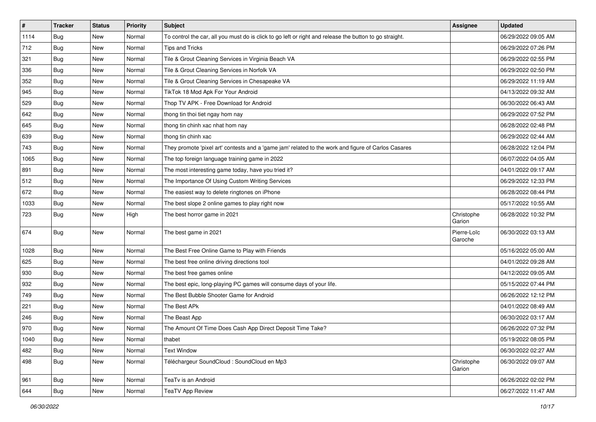| $\vert$ # | Tracker    | <b>Status</b> | <b>Priority</b> | <b>Subject</b>                                                                                          | <b>Assignee</b>        | <b>Updated</b>      |
|-----------|------------|---------------|-----------------|---------------------------------------------------------------------------------------------------------|------------------------|---------------------|
| 1114      | <b>Bug</b> | New           | Normal          | To control the car, all you must do is click to go left or right and release the button to go straight. |                        | 06/29/2022 09:05 AM |
| 712       | Bug        | New           | Normal          | <b>Tips and Tricks</b>                                                                                  |                        | 06/29/2022 07:26 PM |
| 321       | Bug        | New           | Normal          | Tile & Grout Cleaning Services in Virginia Beach VA                                                     |                        | 06/29/2022 02:55 PM |
| 336       | <b>Bug</b> | New           | Normal          | Tile & Grout Cleaning Services in Norfolk VA                                                            |                        | 06/29/2022 02:50 PM |
| 352       | <b>Bug</b> | New           | Normal          | Tile & Grout Cleaning Services in Chesapeake VA                                                         |                        | 06/29/2022 11:19 AM |
| 945       | Bug        | New           | Normal          | TikTok 18 Mod Apk For Your Android                                                                      |                        | 04/13/2022 09:32 AM |
| 529       | <b>Bug</b> | New           | Normal          | Thop TV APK - Free Download for Android                                                                 |                        | 06/30/2022 06:43 AM |
| 642       | <b>Bug</b> | <b>New</b>    | Normal          | thong tin thoi tiet ngay hom nay                                                                        |                        | 06/29/2022 07:52 PM |
| 645       | Bug        | New           | Normal          | thong tin chinh xac nhat hom nay                                                                        |                        | 06/28/2022 02:48 PM |
| 639       | Bug        | New           | Normal          | thong tin chinh xac                                                                                     |                        | 06/29/2022 02:44 AM |
| 743       | <b>Bug</b> | New           | Normal          | They promote 'pixel art' contests and a 'game jam' related to the work and figure of Carlos Casares     |                        | 06/28/2022 12:04 PM |
| 1065      | <b>Bug</b> | New           | Normal          | The top foreign language training game in 2022                                                          |                        | 06/07/2022 04:05 AM |
| 891       | Bug        | New           | Normal          | The most interesting game today, have you tried it?                                                     |                        | 04/01/2022 09:17 AM |
| 512       | <b>Bug</b> | New           | Normal          | The Importance Of Using Custom Writing Services                                                         |                        | 06/29/2022 12:33 PM |
| 672       | Bug        | New           | Normal          | The easiest way to delete ringtones on iPhone                                                           |                        | 06/28/2022 08:44 PM |
| 1033      | Bug        | New           | Normal          | The best slope 2 online games to play right now                                                         |                        | 05/17/2022 10:55 AM |
| 723       | <b>Bug</b> | New           | High            | The best horror game in 2021                                                                            | Christophe<br>Garion   | 06/28/2022 10:32 PM |
| 674       | Bug        | New           | Normal          | The best game in 2021                                                                                   | Pierre-Loïc<br>Garoche | 06/30/2022 03:13 AM |
| 1028      | Bug        | <b>New</b>    | Normal          | The Best Free Online Game to Play with Friends                                                          |                        | 05/16/2022 05:00 AM |
| 625       | <b>Bug</b> | New           | Normal          | The best free online driving directions tool                                                            |                        | 04/01/2022 09:28 AM |
| 930       | Bug        | New           | Normal          | The best free games online                                                                              |                        | 04/12/2022 09:05 AM |
| 932       | <b>Bug</b> | New           | Normal          | The best epic, long-playing PC games will consume days of your life.                                    |                        | 05/15/2022 07:44 PM |
| 749       | Bug        | New           | Normal          | The Best Bubble Shooter Game for Android                                                                |                        | 06/26/2022 12:12 PM |
| 221       | Bug        | New           | Normal          | The Best APk                                                                                            |                        | 04/01/2022 08:49 AM |
| 246       | <b>Bug</b> | New           | Normal          | The Beast App                                                                                           |                        | 06/30/2022 03:17 AM |
| 970       | <b>Bug</b> | New           | Normal          | The Amount Of Time Does Cash App Direct Deposit Time Take?                                              |                        | 06/26/2022 07:32 PM |
| 1040      | <b>Bug</b> | New           | Normal          | thabet                                                                                                  |                        | 05/19/2022 08:05 PM |
| 482       | <b>Bug</b> | New           | Normal          | <b>Text Window</b>                                                                                      |                        | 06/30/2022 02:27 AM |
| 498       | <b>Bug</b> | New           | Normal          | Téléchargeur SoundCloud : SoundCloud en Mp3                                                             | Christophe<br>Garion   | 06/30/2022 09:07 AM |
| 961       | <b>Bug</b> | New           | Normal          | TeaTv is an Android                                                                                     |                        | 06/26/2022 02:02 PM |
| 644       | Bug        | New           | Normal          | <b>TeaTV App Review</b>                                                                                 |                        | 06/27/2022 11:47 AM |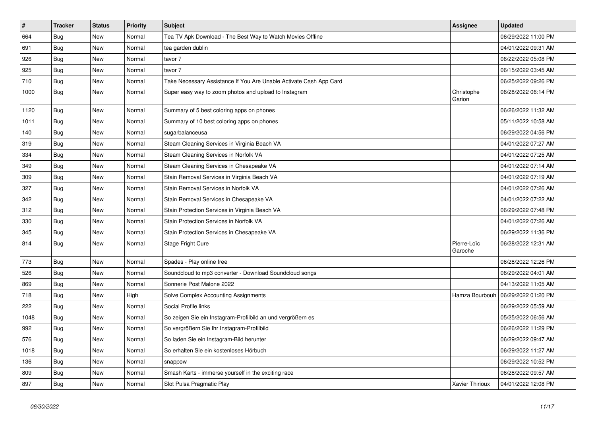| #    | <b>Tracker</b> | <b>Status</b> | <b>Priority</b> | <b>Subject</b>                                                     | Assignee               | <b>Updated</b>      |
|------|----------------|---------------|-----------------|--------------------------------------------------------------------|------------------------|---------------------|
| 664  | Bug            | <b>New</b>    | Normal          | Tea TV Apk Download - The Best Way to Watch Movies Offline         |                        | 06/29/2022 11:00 PM |
| 691  | Bug            | <b>New</b>    | Normal          | tea garden dublin                                                  |                        | 04/01/2022 09:31 AM |
| 926  | Bug            | <b>New</b>    | Normal          | tavor 7                                                            |                        | 06/22/2022 05:08 PM |
| 925  | Bug            | New           | Normal          | tavor 7                                                            |                        | 06/15/2022 03:45 AM |
| 710  | Bug            | <b>New</b>    | Normal          | Take Necessary Assistance If You Are Unable Activate Cash App Card |                        | 06/25/2022 09:26 PM |
| 1000 | <b>Bug</b>     | New           | Normal          | Super easy way to zoom photos and upload to Instagram              | Christophe<br>Garion   | 06/28/2022 06:14 PM |
| 1120 | <b>Bug</b>     | <b>New</b>    | Normal          | Summary of 5 best coloring apps on phones                          |                        | 06/26/2022 11:32 AM |
| 1011 | <b>Bug</b>     | <b>New</b>    | Normal          | Summary of 10 best coloring apps on phones                         |                        | 05/11/2022 10:58 AM |
| 140  | Bug            | <b>New</b>    | Normal          | sugarbalanceusa                                                    |                        | 06/29/2022 04:56 PM |
| 319  | <b>Bug</b>     | New           | Normal          | Steam Cleaning Services in Virginia Beach VA                       |                        | 04/01/2022 07:27 AM |
| 334  | Bug            | New           | Normal          | Steam Cleaning Services in Norfolk VA                              |                        | 04/01/2022 07:25 AM |
| 349  | <b>Bug</b>     | <b>New</b>    | Normal          | Steam Cleaning Services in Chesapeake VA                           |                        | 04/01/2022 07:14 AM |
| 309  | <b>Bug</b>     | <b>New</b>    | Normal          | Stain Removal Services in Virginia Beach VA                        |                        | 04/01/2022 07:19 AM |
| 327  | <b>Bug</b>     | <b>New</b>    | Normal          | Stain Removal Services in Norfolk VA                               |                        | 04/01/2022 07:26 AM |
| 342  | <b>Bug</b>     | New           | Normal          | Stain Removal Services in Chesapeake VA                            |                        | 04/01/2022 07:22 AM |
| 312  | Bug            | <b>New</b>    | Normal          | Stain Protection Services in Virginia Beach VA                     |                        | 06/29/2022 07:48 PM |
| 330  | Bug            | <b>New</b>    | Normal          | Stain Protection Services in Norfolk VA                            |                        | 04/01/2022 07:26 AM |
| 345  | Bug            | <b>New</b>    | Normal          | Stain Protection Services in Chesapeake VA                         |                        | 06/29/2022 11:36 PM |
| 814  | <b>Bug</b>     | New           | Normal          | <b>Stage Fright Cure</b>                                           | Pierre-Loïc<br>Garoche | 06/28/2022 12:31 AM |
| 773  | <b>Bug</b>     | <b>New</b>    | Normal          | Spades - Play online free                                          |                        | 06/28/2022 12:26 PM |
| 526  | <b>Bug</b>     | <b>New</b>    | Normal          | Soundcloud to mp3 converter - Download Soundcloud songs            |                        | 06/29/2022 04:01 AM |
| 869  | <b>Bug</b>     | New           | Normal          | Sonnerie Post Malone 2022                                          |                        | 04/13/2022 11:05 AM |
| 718  | <b>Bug</b>     | New           | High            | Solve Complex Accounting Assignments                               | Hamza Bourbouh         | 06/29/2022 01:20 PM |
| 222  | Bug            | <b>New</b>    | Normal          | Social Profile links                                               |                        | 06/29/2022 05:59 AM |
| 1048 | <b>Bug</b>     | <b>New</b>    | Normal          | So zeigen Sie ein Instagram-Profilbild an und vergrößern es        |                        | 05/25/2022 06:56 AM |
| 992  | <b>Bug</b>     | New           | Normal          | So vergrößern Sie Ihr Instagram-Profilbild                         |                        | 06/26/2022 11:29 PM |
| 576  | Bug            | <b>New</b>    | Normal          | So laden Sie ein Instagram-Bild herunter                           |                        | 06/29/2022 09:47 AM |
| 1018 | Bug            | <b>New</b>    | Normal          | So erhalten Sie ein kostenloses Hörbuch                            |                        | 06/29/2022 11:27 AM |
| 136  | <b>Bug</b>     | New           | Normal          | snappow                                                            |                        | 06/29/2022 10:52 PM |
| 809  | <b>Bug</b>     | New           | Normal          | Smash Karts - immerse yourself in the exciting race                |                        | 06/28/2022 09:57 AM |
| 897  | <b>Bug</b>     | New           | Normal          | Slot Pulsa Pragmatic Play                                          | Xavier Thirioux        | 04/01/2022 12:08 PM |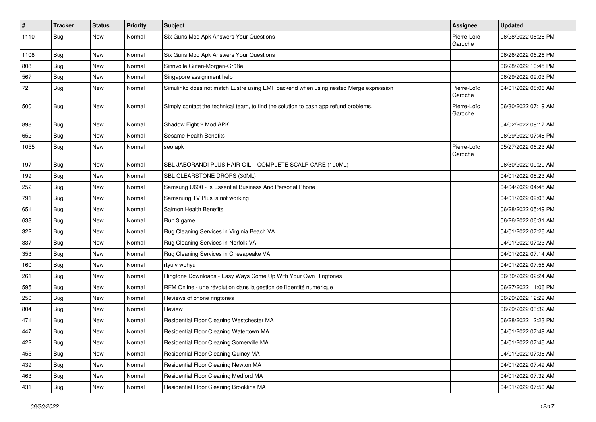| $\#$ | <b>Tracker</b> | <b>Status</b> | <b>Priority</b> | <b>Subject</b>                                                                       | Assignee               | <b>Updated</b>      |
|------|----------------|---------------|-----------------|--------------------------------------------------------------------------------------|------------------------|---------------------|
| 1110 | <b>Bug</b>     | New           | Normal          | Six Guns Mod Apk Answers Your Questions                                              | Pierre-Loïc<br>Garoche | 06/28/2022 06:26 PM |
| 1108 | <b>Bug</b>     | <b>New</b>    | Normal          | Six Guns Mod Apk Answers Your Questions                                              |                        | 06/26/2022 06:26 PM |
| 808  | Bug            | New           | Normal          | Sinnvolle Guten-Morgen-Grüße                                                         |                        | 06/28/2022 10:45 PM |
| 567  | Bug            | New           | Normal          | Singapore assignment help                                                            |                        | 06/29/2022 09:03 PM |
| 72   | <b>Bug</b>     | New           | Normal          | Simulinkd does not match Lustre using EMF backend when using nested Merge expression | Pierre-Loïc<br>Garoche | 04/01/2022 08:06 AM |
| 500  | Bug            | <b>New</b>    | Normal          | Simply contact the technical team, to find the solution to cash app refund problems. | Pierre-Loïc<br>Garoche | 06/30/2022 07:19 AM |
| 898  | Bug            | <b>New</b>    | Normal          | Shadow Fight 2 Mod APK                                                               |                        | 04/02/2022 09:17 AM |
| 652  | Bug            | New           | Normal          | Sesame Health Benefits                                                               |                        | 06/29/2022 07:46 PM |
| 1055 | Bug            | New           | Normal          | seo apk                                                                              | Pierre-Loïc<br>Garoche | 05/27/2022 06:23 AM |
| 197  | <b>Bug</b>     | <b>New</b>    | Normal          | SBL JABORANDI PLUS HAIR OIL - COMPLETE SCALP CARE (100ML)                            |                        | 06/30/2022 09:20 AM |
| 199  | Bug            | <b>New</b>    | Normal          | SBL CLEARSTONE DROPS (30ML)                                                          |                        | 04/01/2022 08:23 AM |
| 252  | Bug            | New           | Normal          | Samsung U600 - Is Essential Business And Personal Phone                              |                        | 04/04/2022 04:45 AM |
| 791  | <b>Bug</b>     | <b>New</b>    | Normal          | Samsnung TV Plus is not working                                                      |                        | 04/01/2022 09:03 AM |
| 651  | <b>Bug</b>     | <b>New</b>    | Normal          | Salmon Health Benefits                                                               |                        | 06/28/2022 05:49 PM |
| 638  | <b>Bug</b>     | New           | Normal          | Run 3 game                                                                           |                        | 06/26/2022 06:31 AM |
| 322  | Bug            | New           | Normal          | Rug Cleaning Services in Virginia Beach VA                                           |                        | 04/01/2022 07:26 AM |
| 337  | Bug            | <b>New</b>    | Normal          | Rug Cleaning Services in Norfolk VA                                                  |                        | 04/01/2022 07:23 AM |
| 353  | <b>Bug</b>     | <b>New</b>    | Normal          | Rug Cleaning Services in Chesapeake VA                                               |                        | 04/01/2022 07:14 AM |
| 160  | Bug            | <b>New</b>    | Normal          | rtyuiv wbhyu                                                                         |                        | 04/01/2022 07:56 AM |
| 261  | Bug            | New           | Normal          | Ringtone Downloads - Easy Ways Come Up With Your Own Ringtones                       |                        | 06/30/2022 02:24 AM |
| 595  | <b>Bug</b>     | New           | Normal          | RFM Online - une révolution dans la gestion de l'identité numérique                  |                        | 06/27/2022 11:06 PM |
| 250  | Bug            | <b>New</b>    | Normal          | Reviews of phone ringtones                                                           |                        | 06/29/2022 12:29 AM |
| 804  | <b>Bug</b>     | New           | Normal          | Review                                                                               |                        | 06/29/2022 03:32 AM |
| 471  | <b>Bug</b>     | New           | Normal          | Residential Floor Cleaning Westchester MA                                            |                        | 06/28/2022 12:23 PM |
| 447  | <b>Bug</b>     | New           | Normal          | Residential Floor Cleaning Watertown MA                                              |                        | 04/01/2022 07:49 AM |
| 422  | <b>Bug</b>     | New           | Normal          | Residential Floor Cleaning Somerville MA                                             |                        | 04/01/2022 07:46 AM |
| 455  | Bug            | New           | Normal          | Residential Floor Cleaning Quincy MA                                                 |                        | 04/01/2022 07:38 AM |
| 439  | <b>Bug</b>     | New           | Normal          | Residential Floor Cleaning Newton MA                                                 |                        | 04/01/2022 07:49 AM |
| 463  | <b>Bug</b>     | New           | Normal          | Residential Floor Cleaning Medford MA                                                |                        | 04/01/2022 07:32 AM |
| 431  | Bug            | New           | Normal          | Residential Floor Cleaning Brookline MA                                              |                        | 04/01/2022 07:50 AM |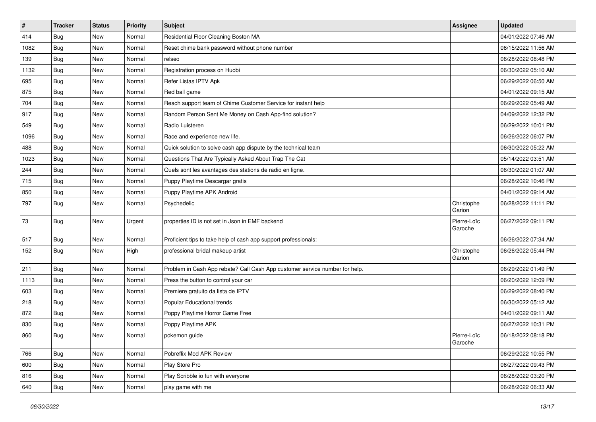| $\pmb{\#}$ | <b>Tracker</b> | <b>Status</b> | <b>Priority</b> | <b>Subject</b>                                                              | <b>Assignee</b>        | <b>Updated</b>      |
|------------|----------------|---------------|-----------------|-----------------------------------------------------------------------------|------------------------|---------------------|
| 414        | <b>Bug</b>     | <b>New</b>    | Normal          | Residential Floor Cleaning Boston MA                                        |                        | 04/01/2022 07:46 AM |
| 1082       | <b>Bug</b>     | <b>New</b>    | Normal          | Reset chime bank password without phone number                              |                        | 06/15/2022 11:56 AM |
| 139        | <b>Bug</b>     | New           | Normal          | relseo                                                                      |                        | 06/28/2022 08:48 PM |
| 1132       | Bug            | New           | Normal          | Registration process on Huobi                                               |                        | 06/30/2022 05:10 AM |
| 695        | Bug            | New           | Normal          | Refer Listas IPTV Apk                                                       |                        | 06/29/2022 06:50 AM |
| 875        | <b>Bug</b>     | New           | Normal          | Red ball game                                                               |                        | 04/01/2022 09:15 AM |
| 704        | Bug            | <b>New</b>    | Normal          | Reach support team of Chime Customer Service for instant help               |                        | 06/29/2022 05:49 AM |
| 917        | Bug            | New           | Normal          | Random Person Sent Me Money on Cash App-find solution?                      |                        | 04/09/2022 12:32 PM |
| 549        | <b>Bug</b>     | New           | Normal          | Radio Luisteren                                                             |                        | 06/29/2022 10:01 PM |
| 1096       | Bug            | <b>New</b>    | Normal          | Race and experience new life.                                               |                        | 06/26/2022 06:07 PM |
| 488        | <b>Bug</b>     | New           | Normal          | Quick solution to solve cash app dispute by the technical team              |                        | 06/30/2022 05:22 AM |
| 1023       | Bug            | <b>New</b>    | Normal          | Questions That Are Typically Asked About Trap The Cat                       |                        | 05/14/2022 03:51 AM |
| 244        | <b>Bug</b>     | New           | Normal          | Quels sont les avantages des stations de radio en ligne.                    |                        | 06/30/2022 01:07 AM |
| 715        | <b>Bug</b>     | <b>New</b>    | Normal          | Puppy Playtime Descargar gratis                                             |                        | 06/28/2022 10:46 PM |
| 850        | <b>Bug</b>     | <b>New</b>    | Normal          | Puppy Playtime APK Android                                                  |                        | 04/01/2022 09:14 AM |
| 797        | <b>Bug</b>     | <b>New</b>    | Normal          | Psychedelic                                                                 | Christophe<br>Garion   | 06/28/2022 11:11 PM |
| 73         | Bug            | <b>New</b>    | Urgent          | properties ID is not set in Json in EMF backend                             | Pierre-Loïc<br>Garoche | 06/27/2022 09:11 PM |
| 517        | Bug            | <b>New</b>    | Normal          | Proficient tips to take help of cash app support professionals:             |                        | 06/26/2022 07:34 AM |
| 152        | Bug            | New           | High            | professional bridal makeup artist                                           | Christophe<br>Garion   | 06/26/2022 05:44 PM |
| 211        | <b>Bug</b>     | <b>New</b>    | Normal          | Problem in Cash App rebate? Call Cash App customer service number for help. |                        | 06/29/2022 01:49 PM |
| 1113       | Bug            | New           | Normal          | Press the button to control your car                                        |                        | 06/20/2022 12:09 PM |
| 603        | Bug            | New           | Normal          | Premiere gratuito da lista de IPTV                                          |                        | 06/29/2022 08:40 PM |
| 218        | Bug            | New           | Normal          | Popular Educational trends                                                  |                        | 06/30/2022 05:12 AM |
| 872        | Bug            | New           | Normal          | Poppy Playtime Horror Game Free                                             |                        | 04/01/2022 09:11 AM |
| 830        | <b>Bug</b>     | New           | Normal          | Poppy Playtime APK                                                          |                        | 06/27/2022 10:31 PM |
| 860        | i Bug          | New           | Normal          | pokemon guide                                                               | Pierre-Loïc<br>Garoche | 06/18/2022 08:18 PM |
| 766        | Bug            | New           | Normal          | Pobreflix Mod APK Review                                                    |                        | 06/29/2022 10:55 PM |
| 600        | <b>Bug</b>     | New           | Normal          | Play Store Pro                                                              |                        | 06/27/2022 09:43 PM |
| 816        | Bug            | New           | Normal          | Play Scribble io fun with everyone                                          |                        | 06/28/2022 03:20 PM |
| 640        | Bug            | New           | Normal          | play game with me                                                           |                        | 06/28/2022 06:33 AM |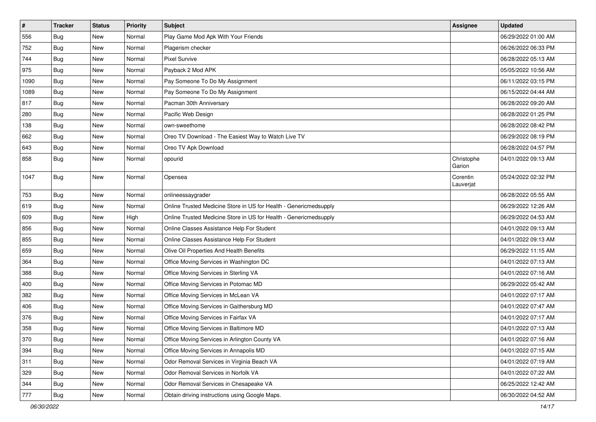| $\vert$ # | <b>Tracker</b> | <b>Status</b> | <b>Priority</b> | Subject                                                           | <b>Assignee</b>       | <b>Updated</b>      |
|-----------|----------------|---------------|-----------------|-------------------------------------------------------------------|-----------------------|---------------------|
| 556       | <b>Bug</b>     | New           | Normal          | Play Game Mod Apk With Your Friends                               |                       | 06/29/2022 01:00 AM |
| 752       | <b>Bug</b>     | <b>New</b>    | Normal          | Plagerism checker                                                 |                       | 06/26/2022 06:33 PM |
| 744       | Bug            | New           | Normal          | <b>Pixel Survive</b>                                              |                       | 06/28/2022 05:13 AM |
| 975       | <b>Bug</b>     | New           | Normal          | Payback 2 Mod APK                                                 |                       | 05/05/2022 10:56 AM |
| 1090      | <b>Bug</b>     | <b>New</b>    | Normal          | Pay Someone To Do My Assignment                                   |                       | 06/11/2022 03:15 PM |
| 1089      | <b>Bug</b>     | New           | Normal          | Pay Someone To Do My Assignment                                   |                       | 06/15/2022 04:44 AM |
| 817       | <b>Bug</b>     | New           | Normal          | Pacman 30th Anniversary                                           |                       | 06/28/2022 09:20 AM |
| 280       | Bug            | New           | Normal          | Pacific Web Design                                                |                       | 06/28/2022 01:25 PM |
| 138       | <b>Bug</b>     | New           | Normal          | own-sweethome                                                     |                       | 06/28/2022 08:42 PM |
| 662       | Bug            | New           | Normal          | Oreo TV Download - The Easiest Way to Watch Live TV               |                       | 06/29/2022 08:19 PM |
| 643       | <b>Bug</b>     | New           | Normal          | Oreo TV Apk Download                                              |                       | 06/28/2022 04:57 PM |
| 858       | <b>Bug</b>     | New           | Normal          | opourid                                                           | Christophe<br>Garion  | 04/01/2022 09:13 AM |
| 1047      | Bug            | New           | Normal          | Opensea                                                           | Corentin<br>Lauverjat | 05/24/2022 02:32 PM |
| 753       | Bug            | <b>New</b>    | Normal          | onlineessaygrader                                                 |                       | 06/28/2022 05:55 AM |
| 619       | <b>Bug</b>     | <b>New</b>    | Normal          | Online Trusted Medicine Store in US for Health - Genericmedsupply |                       | 06/29/2022 12:26 AM |
| 609       | <b>Bug</b>     | New           | High            | Online Trusted Medicine Store in US for Health - Genericmedsupply |                       | 06/29/2022 04:53 AM |
| 856       | <b>Bug</b>     | New           | Normal          | Online Classes Assistance Help For Student                        |                       | 04/01/2022 09:13 AM |
| 855       | Bug            | New           | Normal          | Online Classes Assistance Help For Student                        |                       | 04/01/2022 09:13 AM |
| 659       | <b>Bug</b>     | <b>New</b>    | Normal          | Olive Oil Properties And Health Benefits                          |                       | 06/29/2022 11:15 AM |
| 364       | <b>Bug</b>     | New           | Normal          | Office Moving Services in Washington DC                           |                       | 04/01/2022 07:13 AM |
| 388       | <b>Bug</b>     | New           | Normal          | Office Moving Services in Sterling VA                             |                       | 04/01/2022 07:16 AM |
| 400       | <b>Bug</b>     | New           | Normal          | Office Moving Services in Potomac MD                              |                       | 06/29/2022 05:42 AM |
| 382       | <b>Bug</b>     | New           | Normal          | Office Moving Services in McLean VA                               |                       | 04/01/2022 07:17 AM |
| 406       | Bug            | <b>New</b>    | Normal          | Office Moving Services in Gaithersburg MD                         |                       | 04/01/2022 07:47 AM |
| 376       | <b>Bug</b>     | New           | Normal          | Office Moving Services in Fairfax VA                              |                       | 04/01/2022 07:17 AM |
| 358       | <b>Bug</b>     | New           | Normal          | Office Moving Services in Baltimore MD                            |                       | 04/01/2022 07:13 AM |
| 370       | Bug            | New           | Normal          | Office Moving Services in Arlington County VA                     |                       | 04/01/2022 07:16 AM |
| 394       | Bug            | New           | Normal          | Office Moving Services in Annapolis MD                            |                       | 04/01/2022 07:15 AM |
| 311       | Bug            | New           | Normal          | Odor Removal Services in Virginia Beach VA                        |                       | 04/01/2022 07:19 AM |
| 329       | <b>Bug</b>     | New           | Normal          | Odor Removal Services in Norfolk VA                               |                       | 04/01/2022 07:22 AM |
| 344       | <b>Bug</b>     | New           | Normal          | Odor Removal Services in Chesapeake VA                            |                       | 06/25/2022 12:42 AM |
| 777       | Bug            | New           | Normal          | Obtain driving instructions using Google Maps.                    |                       | 06/30/2022 04:52 AM |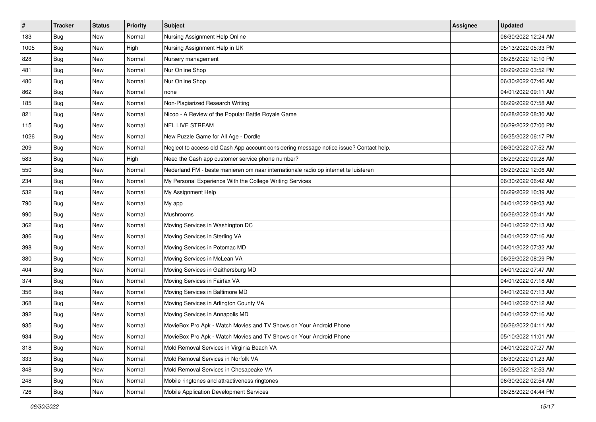| #    | <b>Tracker</b> | <b>Status</b> | <b>Priority</b> | <b>Subject</b>                                                                         | Assignee | <b>Updated</b>      |
|------|----------------|---------------|-----------------|----------------------------------------------------------------------------------------|----------|---------------------|
| 183  | Bug            | New           | Normal          | Nursing Assignment Help Online                                                         |          | 06/30/2022 12:24 AM |
| 1005 | Bug            | <b>New</b>    | High            | Nursing Assignment Help in UK                                                          |          | 05/13/2022 05:33 PM |
| 828  | <b>Bug</b>     | New           | Normal          | Nursery management                                                                     |          | 06/28/2022 12:10 PM |
| 481  | Bug            | New           | Normal          | Nur Online Shop                                                                        |          | 06/29/2022 03:52 PM |
| 480  | Bug            | <b>New</b>    | Normal          | Nur Online Shop                                                                        |          | 06/30/2022 07:46 AM |
| 862  | Bug            | <b>New</b>    | Normal          | none                                                                                   |          | 04/01/2022 09:11 AM |
| 185  | Bug            | <b>New</b>    | Normal          | Non-Plagiarized Research Writing                                                       |          | 06/29/2022 07:58 AM |
| 821  | Bug            | New           | Normal          | Nicoo - A Review of the Popular Battle Royale Game                                     |          | 06/28/2022 08:30 AM |
| 115  | Bug            | <b>New</b>    | Normal          | <b>NFL LIVE STREAM</b>                                                                 |          | 06/29/2022 07:00 PM |
| 1026 | Bug            | <b>New</b>    | Normal          | New Puzzle Game for All Age - Dordle                                                   |          | 06/25/2022 06:17 PM |
| 209  | <b>Bug</b>     | New           | Normal          | Neglect to access old Cash App account considering message notice issue? Contact help. |          | 06/30/2022 07:52 AM |
| 583  | Bug            | New           | High            | Need the Cash app customer service phone number?                                       |          | 06/29/2022 09:28 AM |
| 550  | Bug            | <b>New</b>    | Normal          | Nederland FM - beste manieren om naar internationale radio op internet te luisteren    |          | 06/29/2022 12:06 AM |
| 234  | <b>Bug</b>     | New           | Normal          | My Personal Experience With the College Writing Services                               |          | 06/30/2022 06:42 AM |
| 532  | <b>Bug</b>     | <b>New</b>    | Normal          | My Assignment Help                                                                     |          | 06/29/2022 10:39 AM |
| 790  | <b>Bug</b>     | New           | Normal          | My app                                                                                 |          | 04/01/2022 09:03 AM |
| 990  | <b>Bug</b>     | <b>New</b>    | Normal          | Mushrooms                                                                              |          | 06/26/2022 05:41 AM |
| 362  | Bug            | <b>New</b>    | Normal          | Moving Services in Washington DC                                                       |          | 04/01/2022 07:13 AM |
| 386  | Bug            | New           | Normal          | Moving Services in Sterling VA                                                         |          | 04/01/2022 07:16 AM |
| 398  | Bug            | <b>New</b>    | Normal          | Moving Services in Potomac MD                                                          |          | 04/01/2022 07:32 AM |
| 380  | <b>Bug</b>     | New           | Normal          | Moving Services in McLean VA                                                           |          | 06/29/2022 08:29 PM |
| 404  | Bug            | <b>New</b>    | Normal          | Moving Services in Gaithersburg MD                                                     |          | 04/01/2022 07:47 AM |
| 374  | Bug            | <b>New</b>    | Normal          | Moving Services in Fairfax VA                                                          |          | 04/01/2022 07:18 AM |
| 356  | <b>Bug</b>     | <b>New</b>    | Normal          | Moving Services in Baltimore MD                                                        |          | 04/01/2022 07:13 AM |
| 368  | <b>Bug</b>     | New           | Normal          | Moving Services in Arlington County VA                                                 |          | 04/01/2022 07:12 AM |
| 392  | Bug            | New           | Normal          | Moving Services in Annapolis MD                                                        |          | 04/01/2022 07:16 AM |
| 935  | <b>Bug</b>     | New           | Normal          | MovieBox Pro Apk - Watch Movies and TV Shows on Your Android Phone                     |          | 06/26/2022 04:11 AM |
| 934  | <b>Bug</b>     | New           | Normal          | MovieBox Pro Apk - Watch Movies and TV Shows on Your Android Phone                     |          | 05/10/2022 11:01 AM |
| 318  | <b>Bug</b>     | New           | Normal          | Mold Removal Services in Virginia Beach VA                                             |          | 04/01/2022 07:27 AM |
| 333  | Bug            | New           | Normal          | Mold Removal Services in Norfolk VA                                                    |          | 06/30/2022 01:23 AM |
| 348  | Bug            | New           | Normal          | Mold Removal Services in Chesapeake VA                                                 |          | 06/28/2022 12:53 AM |
| 248  | <b>Bug</b>     | New           | Normal          | Mobile ringtones and attractiveness ringtones                                          |          | 06/30/2022 02:54 AM |
| 726  | Bug            | New           | Normal          | Mobile Application Development Services                                                |          | 06/28/2022 04:44 PM |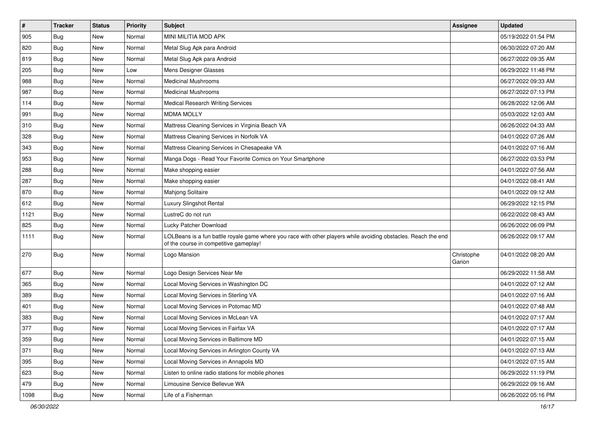| $\sharp$ | <b>Tracker</b> | <b>Status</b> | <b>Priority</b> | Subject                                                                                                                                                  | Assignee             | <b>Updated</b>      |
|----------|----------------|---------------|-----------------|----------------------------------------------------------------------------------------------------------------------------------------------------------|----------------------|---------------------|
| 905      | <b>Bug</b>     | New           | Normal          | MINI MILITIA MOD APK                                                                                                                                     |                      | 05/19/2022 01:54 PM |
| 820      | <b>Bug</b>     | New           | Normal          | Metal Slug Apk para Android                                                                                                                              |                      | 06/30/2022 07:20 AM |
| 819      | Bug            | New           | Normal          | Metal Slug Apk para Android                                                                                                                              |                      | 06/27/2022 09:35 AM |
| 205      | Bug            | New           | Low             | Mens Designer Glasses                                                                                                                                    |                      | 06/29/2022 11:48 PM |
| 988      | Bug            | New           | Normal          | <b>Medicinal Mushrooms</b>                                                                                                                               |                      | 06/27/2022 09:33 AM |
| 987      | <b>Bug</b>     | New           | Normal          | <b>Medicinal Mushrooms</b>                                                                                                                               |                      | 06/27/2022 07:13 PM |
| 114      | Bug            | New           | Normal          | <b>Medical Research Writing Services</b>                                                                                                                 |                      | 06/28/2022 12:06 AM |
| 991      | <b>Bug</b>     | New           | Normal          | <b>MDMA MOLLY</b>                                                                                                                                        |                      | 05/03/2022 12:03 AM |
| 310      | <b>Bug</b>     | New           | Normal          | Mattress Cleaning Services in Virginia Beach VA                                                                                                          |                      | 06/26/2022 04:33 AM |
| 328      | Bug            | New           | Normal          | Mattress Cleaning Services in Norfolk VA                                                                                                                 |                      | 04/01/2022 07:26 AM |
| 343      | <b>Bug</b>     | New           | Normal          | Mattress Cleaning Services in Chesapeake VA                                                                                                              |                      | 04/01/2022 07:16 AM |
| 953      | <b>Bug</b>     | New           | Normal          | Manga Dogs - Read Your Favorite Comics on Your Smartphone                                                                                                |                      | 06/27/2022 03:53 PM |
| 288      | Bug            | New           | Normal          | Make shopping easier                                                                                                                                     |                      | 04/01/2022 07:56 AM |
| 287      | Bug            | New           | Normal          | Make shopping easier                                                                                                                                     |                      | 04/01/2022 08:41 AM |
| 870      | Bug            | New           | Normal          | Mahjong Solitaire                                                                                                                                        |                      | 04/01/2022 09:12 AM |
| 612      | Bug            | New           | Normal          | Luxury Slingshot Rental                                                                                                                                  |                      | 06/29/2022 12:15 PM |
| 1121     | <b>Bug</b>     | New           | Normal          | LustreC do not run                                                                                                                                       |                      | 06/22/2022 08:43 AM |
| 825      | <b>Bug</b>     | New           | Normal          | Lucky Patcher Download                                                                                                                                   |                      | 06/26/2022 06:09 PM |
| 1111     | <b>Bug</b>     | New           | Normal          | LOLBeans is a fun battle royale game where you race with other players while avoiding obstacles. Reach the end<br>of the course in competitive gameplay! |                      | 06/26/2022 09:17 AM |
| 270      | <b>Bug</b>     | New           | Normal          | Logo Mansion                                                                                                                                             | Christophe<br>Garion | 04/01/2022 08:20 AM |
| 677      | <b>Bug</b>     | New           | Normal          | Logo Design Services Near Me                                                                                                                             |                      | 06/29/2022 11:58 AM |
| 365      | Bug            | New           | Normal          | Local Moving Services in Washington DC                                                                                                                   |                      | 04/01/2022 07:12 AM |
| 389      | <b>Bug</b>     | New           | Normal          | Local Moving Services in Sterling VA                                                                                                                     |                      | 04/01/2022 07:16 AM |
| 401      | Bug            | New           | Normal          | Local Moving Services in Potomac MD                                                                                                                      |                      | 04/01/2022 07:48 AM |
| 383      | <b>Bug</b>     | New           | Normal          | Local Moving Services in McLean VA                                                                                                                       |                      | 04/01/2022 07:17 AM |
| 377      | <b>Bug</b>     | New           | Normal          | Local Moving Services in Fairfax VA                                                                                                                      |                      | 04/01/2022 07:17 AM |
| 359      | Bug            | New           | Normal          | Local Moving Services in Baltimore MD                                                                                                                    |                      | 04/01/2022 07:15 AM |
| 371      | <b>Bug</b>     | New           | Normal          | Local Moving Services in Arlington County VA                                                                                                             |                      | 04/01/2022 07:13 AM |
| 395      | <b>Bug</b>     | New           | Normal          | Local Moving Services in Annapolis MD                                                                                                                    |                      | 04/01/2022 07:15 AM |
| 623      | Bug            | New           | Normal          | Listen to online radio stations for mobile phones                                                                                                        |                      | 06/29/2022 11:19 PM |
| 479      | Bug            | New           | Normal          | Limousine Service Bellevue WA                                                                                                                            |                      | 06/29/2022 09:16 AM |
| 1098     | <b>Bug</b>     | New           | Normal          | Life of a Fisherman                                                                                                                                      |                      | 06/26/2022 05:16 PM |